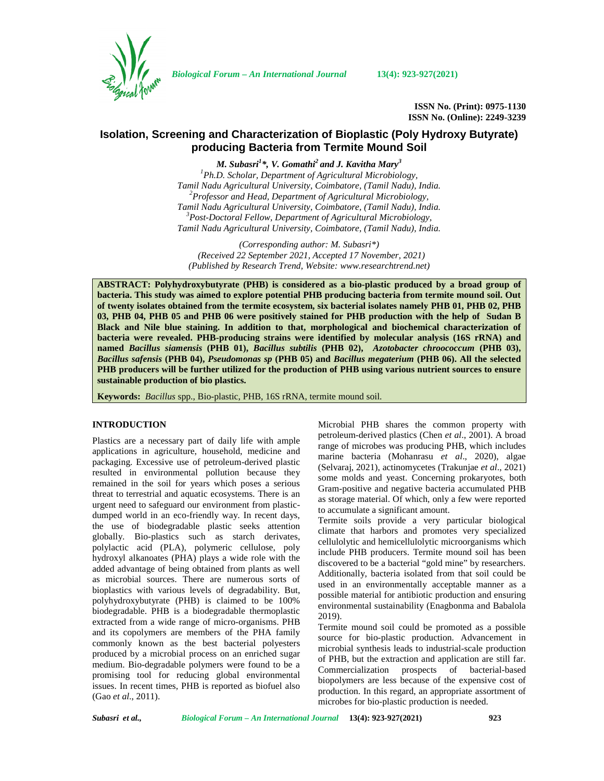

*Biological Forum – An International Journal* **13(4): 923-927(2021)**

**ISSN No. (Print): 0975-1130 ISSN No. (Online): 2249-3239**

# **Isolation, Screening and Characterization of Bioplastic (Poly Hydroxy Butyrate) producing Bacteria from Termite Mound Soil**

*M. Subasri<sup>1</sup>\*, V. Gomathi<sup>2</sup> and J. Kavitha Mary<sup>3</sup>*

*<sup>1</sup>Ph.D. Scholar, Department of Agricultural Microbiology, Tamil Nadu Agricultural University, Coimbatore, (Tamil Nadu), India. <sup>2</sup>Professor and Head, Department of Agricultural Microbiology, Tamil Nadu Agricultural University, Coimbatore, (Tamil Nadu), India. <sup>3</sup>Post-Doctoral Fellow, Department of Agricultural Microbiology, Tamil Nadu Agricultural University, Coimbatore, (Tamil Nadu), India.*

*(Corresponding author: M. Subasri\*) (Received 22 September 2021, Accepted 17 November, 2021) (Published by Research Trend, Website: [www.researchtrend.net\)](www.researchtrend.net)*

**ABSTRACT: Polyhydroxybutyrate (PHB) is considered as a bio-plastic produced by a broad group of bacteria. This study was aimed to explore potential PHB producing bacteria from termite mound soil. Out of twenty isolates obtained from the termite ecosystem, six bacterial isolates namely PHB 01, PHB 02, PHB 03, PHB 04, PHB 05 and PHB 06 were positively stained for PHB production with the help of Sudan B Black and Nile blue staining. In addition to that, morphological and biochemical characterization of bacteria were revealed. PHB-producing strains were identified by molecular analysis (16S rRNA) and named** *Bacillus siamensis* **(PHB 01),** *Bacillus subtilis* **(PHB 02),** *Azotobacter chroococcum* **(PHB 03),** *Bacillus safensis* **(PHB 04),** *Pseudomonas sp* **(PHB 05) and** *Bacillus megaterium* **(PHB 06). All the selected PHB producers will be further utilized for the production of PHB using various nutrient sources to ensure sustainable production of bio plastics.**

**Keywords:** *Bacillus* spp., Bio-plastic, PHB, 16S rRNA, termite mound soil.

## **INTRODUCTION**

Plastics are a necessary part of daily life with ample applications in agriculture, household, medicine and packaging. Excessive use of petroleum-derived plastic resulted in environmental pollution because they remained in the soil for years which poses a serious threat to terrestrial and aquatic ecosystems. There is an urgent need to safeguard our environment from plastic dumped world in an eco-friendly way. In recent days, the use of biodegradable plastic seeks attention globally. Bio-plastics such as starch derivates, polylactic acid (PLA), polymeric cellulose, poly hydroxyl alkanoates (PHA) plays a wide role with the added advantage of being obtained from plants as well as microbial sources. There are numerous sorts of bioplastics with various levels of degradability. But, polyhydroxybutyrate (PHB) is claimed to be 100% biodegradable. PHB is a biodegradable thermoplastic extracted from a wide range of micro-organisms. PHB and its copolymers are members of the PHA family commonly known as the best bacterial polyesters produced by a microbial process on an enriched sugar medium. Bio-degradable polymers were found to be a promising tool for reducing global environmental issues. In recent times, PHB is reported as biofuel also (Gao *et al*., 2011).

Microbial PHB shares the common property with petroleum-derived plastics (Chen *et al*., 2001). A broad range of microbes was producing PHB, which includes marine bacteria (Mohanrasu *et al*., 2020), algae (Selvaraj, 2021), actinomycetes (Trakunjae *et al*., 2021) some molds and yeast. Concerning prokaryotes, both Gram-positive and negative bacteria accumulated PHB as storage material. Of which, only a few were reported to accumulate a significant amount.

Termite soils provide a very particular biological climate that harbors and promotes very specialized cellulolytic and hemicellulolytic microorganisms which include PHB producers. Termite mound soil has been discovered to be a bacterial "gold mine" by researchers. Additionally, bacteria isolated from that soil could be used in an environmentally acceptable manner as a possible material for antibiotic production and ensuring environmental sustainability (Enagbonma and Babalola 2019).

Termite mound soil could be promoted as a possible source for bio-plastic production. Advancement in microbial synthesis leads to industrial-scale production of PHB, but the extraction and application are still far. Commercialization prospects of bacterial-based biopolymers are less because of the expensive cost of production. In this regard, an appropriate assortment of microbes for bio-plastic production is needed.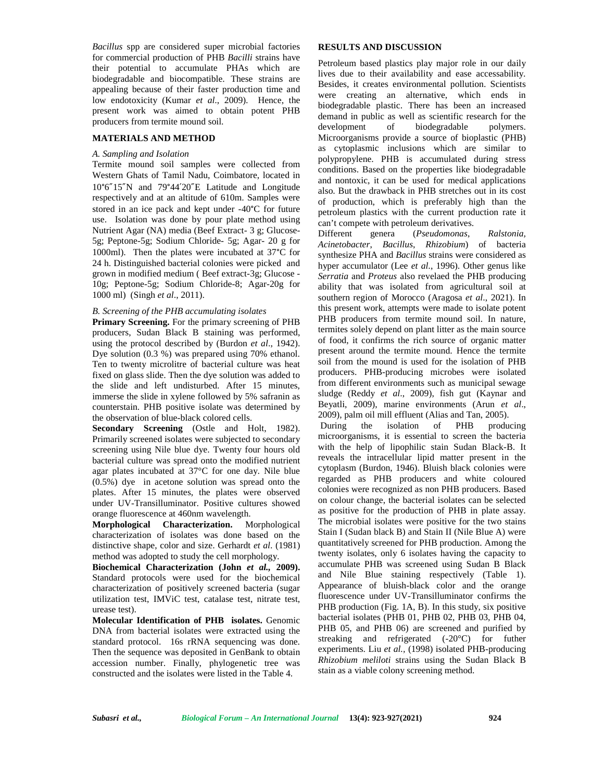*Bacillus* spp are considered super microbial factories for commercial production of PHB *Bacilli* strains have their potential to accumulate PHAs which are biodegradable and biocompatible. These strains are appealing because of their faster production time and low endotoxicity (Kumar *et al*., 2009). Hence, the present work was aimed to obtain potent PHB producers from termite mound soil.

### **MATERIALS AND METHOD**

#### *A. Sampling and Isolation*

Termite mound soil samples were collected from Western Ghats of Tamil Nadu, Coimbatore, located in 10°6″15″N and 79°44′20″E Latitude and Longitude respectively and at an altitude of 610m. Samples were stored in an ice pack and kept under -40°C for future use. Isolation was done by pour plate method using Nutrient Agar (NA) media (Beef Extract- 3 g; Glucose-<br>Different 5g; Peptone-5g; Sodium Chloride- 5g; Agar- 20 g for 1000ml). Then the plates were incubated at 37°C for 24 h. Distinguished bacterial colonies were picked and grown in modified medium ( Beef extract-3g; Glucose - 10g; Peptone-5g; Sodium Chloride-8; Agar-20g for 1000 ml) (Singh *et al*., 2011).

#### *B. Screening of the PHB accumulating isolates*

**Primary Screening.** For the primary screening of PHB producers, Sudan Black B staining was performed, using the protocol described by (Burdon *et al*., 1942). Dye solution (0.3 %) was prepared using 70% ethanol. Ten to twenty microlitre of bacterial culture was heat fixed on glass slide. Then the dye solution was added to the slide and left undisturbed. After 15 minutes, immerse the slide in xylene followed by 5% safranin as counterstain. PHB positive isolate was determined by the observation of blue-black colored cells.

**Secondary Screening** (Ostle and Holt, 1982). During Primarily screened isolates were subjected to secondary screening using Nile blue dye. Twenty four hours old bacterial culture was spread onto the modified nutrient agar plates incubated at 37°C for one day. Nile blue (0.5%) dye in acetone solution was spread onto the plates. After 15 minutes, the plates were observed under UV-Transilluminator. Positive cultures showed orange fluorescence at 460nm wavelength.

**Morphological Characterization.** Morphological characterization of isolates was done based on the distinctive shape, color and size. Gerhardt *et al*. (1981) method was adopted to study the cell morphology.

**Biochemical Characterization (John** *et al.,* **2009).** Standard protocols were used for the biochemical characterization of positively screened bacteria (sugar utilization test, IMViC test, catalase test, nitrate test, urease test).

**Molecular Identification of PHB isolates.** Genomic DNA from bacterial isolates were extracted using the standard protocol. 16s rRNA sequencing was done. Then the sequence was deposited in GenBank to obtain accession number. Finally, phylogenetic tree was constructed and the isolates were listed in the Table 4.

## **RESULTS AND DISCUSSION**

Petroleum based plastics play major role in our daily lives due to their availability and ease accessability. Besides, it creates environmental pollution. Scientists were creating an alternative, which ends in biodegradable plastic. There has been an increased demand in public as well as scientific research for the development of biodegradable polymers. Microorganisms provide a source of bioplastic (PHB) as cytoplasmic inclusions which are similar to polypropylene. PHB is accumulated during stress conditions. Based on the properties like biodegradable and nontoxic, it can be used for medical applications also. But the drawback in PHB stretches out in its cost of production, which is preferably high than the petroleum plastics with the current production rate it can't compete with petroleum derivatives.

Different genera (*Pseudomonas*, *Ralstonia, Acinetobacter*, *Bacillus*, *Rhizobium*) of bacteria synthesize PHA and *Bacillus* strains were considered as hyper accumulator (Lee *et al*., 1996). Other genus like *Serratia* and *Proteus* also revelaed the PHB producing ability that was isolated from agricultural soil at southern region of Morocco (Aragosa *et al*., 2021). In this present work, attempts were made to isolate potent PHB producers from termite mound soil. In nature, termites solely depend on plant litter as the main source of food, it confirms the rich source of organic matter present around the termite mound. Hence the termite soil from the mound is used for the isolation of PHB producers. PHB-producing microbes were isolated from different environments such as municipal sewage sludge (Reddy *et al*., 2009), fish gut (Kaynar and Beyatli, 2009), marine environments (Arun *et al*., 2009), palm oil mill effluent (Alias and Tan, 2005).

the isolation of PHB producing microorganisms, it is essential to screen the bacteria with the help of lipophilic stain Sudan Black-B. It reveals the intracellular lipid matter present in the cytoplasm (Burdon, 1946). Bluish black colonies were regarded as PHB producers and white coloured colonies were recognized as non PHB producers. Based on colour change, the bacterial isolates can be selected as positive for the production of PHB in plate assay. The microbial isolates were positive for the two stains Stain I (Sudan black B) and Stain II (Nile Blue A) were quantitatively screened for PHB production. Among the twenty isolates, only 6 isolates having the capacity to accumulate PHB was screened using Sudan B Black and Nile Blue staining respectively (Table 1). Appearance of bluish-black color and the orange fluorescence under UV-Transilluminator confirms the PHB production (Fig. 1A, B). In this study, six positive bacterial isolates (PHB 01, PHB 02, PHB 03, PHB 04, PHB 05, and PHB 06) are screened and purified by streaking and refrigerated (-20°C) for futher experiments. Liu *et al.,* (1998) isolated PHB-producing *Rhizobium meliloti* strains using the Sudan Black B stain as a viable colony screening method.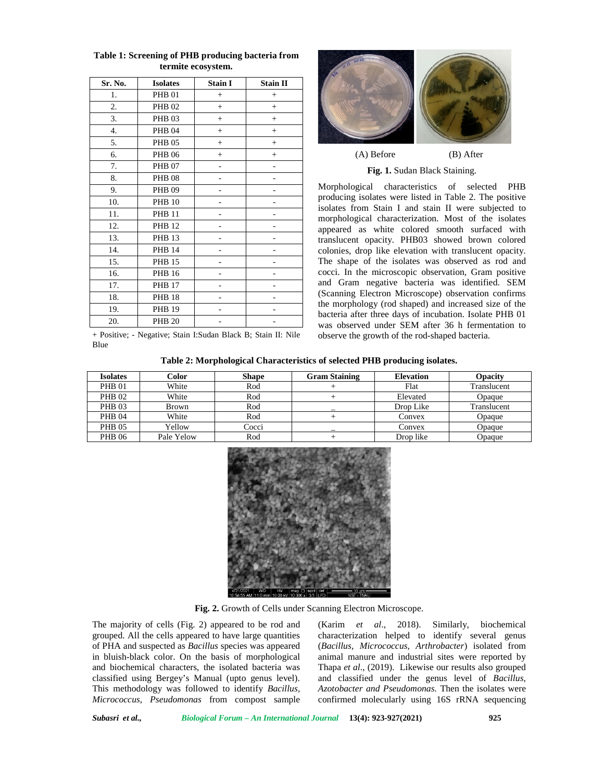| Sr. No. | <b>Isolates</b> | <b>Stain I</b> | <b>Stain II</b> |
|---------|-----------------|----------------|-----------------|
| 1.      | <b>PHB 01</b>   | $+$            | $^{+}$          |
| 2.      | <b>PHB 02</b>   | $+$            | $^{+}$          |
| 3.      | <b>PHB 03</b>   | $+$            | $^{+}$          |
| 4.      | <b>PHB 04</b>   | $^{+}$         | $^{+}$          |
| 5.      | <b>PHB 05</b>   | $+$            | $+$             |
| 6.      | <b>PHB 06</b>   | $^{+}$         | $^{+}$          |
| 7.      | <b>PHB 07</b>   |                |                 |
| 8.      | <b>PHB 08</b>   |                |                 |
| 9.      | <b>PHB 09</b>   |                |                 |
| 10.     | <b>PHB 10</b>   |                |                 |
| 11.     | <b>PHB 11</b>   |                |                 |
| 12.     | <b>PHB 12</b>   |                |                 |
| 13.     | <b>PHB 13</b>   |                |                 |
| 14.     | <b>PHB 14</b>   |                |                 |
| 15.     | <b>PHB 15</b>   |                |                 |
| 16.     | <b>PHB 16</b>   |                |                 |
| 17.     | <b>PHB 17</b>   |                |                 |
| 18.     | <b>PHB 18</b>   |                |                 |
| 19.     | <b>PHB 19</b>   |                |                 |
| 20.     | <b>PHB 20</b>   |                |                 |

**Table 1: Screening of PHB producing bacteria from termite ecosystem.**



**Fig. 1.** Sudan Black Staining.

Morphological characteristics of selected PHB producing isolates were listed in Table 2. The positive isolates from Stain I and stain II were subjected to morphological characterization. Most of the isolates appeared as white colored smooth surfaced with translucent opacity. PHB03 showed brown colored colonies, drop like elevation with translucent opacity. The shape of the isolates was observed as rod and cocci. In the microscopic observation, Gram positive and Gram negative bacteria was identified. SEM (Scanning Electron Microscope) observation confirms the morphology (rod shaped) and increased size of the bacteria after three days of incubation. Isolate PHB 01 was observed under SEM after 36 h fermentation to observe the growth of the rod-shaped bacteria.

+ Positive; - Negative; Stain I:Sudan Black B; Stain II: Nile Blue

**Table 2: Morphological Characteristics of selected PHB producing isolates.**

| <b>Isolates</b> | Color        | <b>Shape</b> | <b>Gram Staining</b> | <b>Elevation</b> | <b>Opacity</b> |
|-----------------|--------------|--------------|----------------------|------------------|----------------|
| <b>PHB 01</b>   | White        | Rod          |                      | Flat             | Translucent    |
| <b>PHB 02</b>   | White        | Rod          |                      | Elevated         | Opaque         |
| <b>PHB 03</b>   | <b>Brown</b> | Rod          |                      | Drop Like        | Translucent    |
| <b>PHB 04</b>   | White        | Rod          |                      | Convex           | Opaque         |
| <b>PHB 05</b>   | Yellow       | Cocci        |                      | Convex           | Opaque         |
| <b>PHB 06</b>   | Pale Yelow   | Rod          |                      | Drop like        | Opaque         |



**Fig. 2.** Growth of Cells under Scanning Electron Microscope.

The majority of cells (Fig. 2) appeared to be rod and grouped. All the cells appeared to have large quantities of PHA and suspected as *Bacillus* species was appeared in bluish-black color. On the basis of morphological and biochemical characters, the isolated bacteria was classified using Bergey's Manual (upto genus level). This methodology was followed to identify *Bacillus, Micrococcus, Pseudomonas* from compost sample

(Karim *et al*., 2018). Similarly, biochemical characterization helped to identify several genus (*Bacillus, Micrococcus, Arthrobacter*) isolated from animal manure and industrial sites were reported by Thapa *et al*., (2019). Likewise our results also grouped and classified under the genus level of *Bacillus, Azotobacter and Pseudomonas.* Then the isolates were confirmed molecularly using 16S rRNA sequencing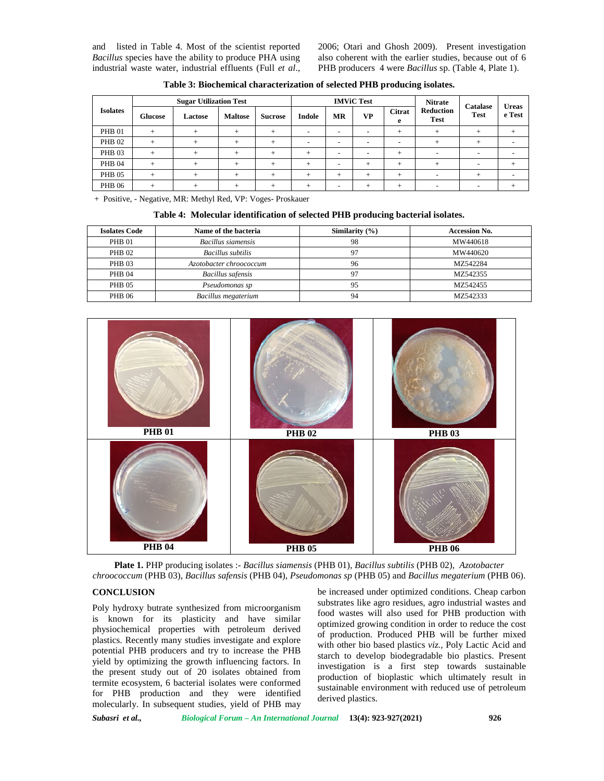and listed in Table 4. Most of the scientist reported *Bacillus* species have the ability to produce PHA using industrial waste water, industrial effluents (Full *et al*., 2006; Otari and Ghosh 2009). Present investigation also coherent with the earlier studies, because out of 6 PHB producers 4 were *Bacillus* sp. (Table 4, Plate 1).

|                 | <b>Sugar Utilization Test</b> |         |                | <b>IMViC Test</b> |                          |                          | <b>Nitrate</b>           | Catalase                 | <b>Ureas</b>                    |                          |                          |
|-----------------|-------------------------------|---------|----------------|-------------------|--------------------------|--------------------------|--------------------------|--------------------------|---------------------------------|--------------------------|--------------------------|
| <b>Isolates</b> | Glucose                       | Lactose | <b>Maltose</b> | <b>Sucrose</b>    | Indole                   | MR                       | <b>VP</b>                | <b>Citrat</b><br>e       | <b>Reduction</b><br><b>Test</b> | <b>Test</b>              | e Test                   |
| <b>PHB 01</b>   |                               |         |                |                   | $\overline{\phantom{0}}$ | $\overline{\phantom{a}}$ | $\overline{\phantom{0}}$ | ÷                        |                                 |                          | $^{+}$                   |
| <b>PHB 02</b>   |                               |         |                |                   | $\overline{\phantom{0}}$ | $\overline{\phantom{a}}$ | $\overline{\phantom{0}}$ | $\overline{\phantom{0}}$ |                                 |                          |                          |
| <b>PHB 03</b>   |                               |         |                |                   | ÷                        | $\overline{\phantom{a}}$ | ۰                        |                          | $\overline{\phantom{0}}$        | $\overline{\phantom{0}}$ | -                        |
| <b>PHB 04</b>   |                               |         |                |                   | $\div$                   | $\overline{\phantom{a}}$ |                          |                          |                                 | $\overline{\phantom{a}}$ |                          |
| <b>PHB 05</b>   |                               |         |                |                   | +                        | -                        |                          | ÷                        | $\overline{\phantom{a}}$        |                          | $\overline{\phantom{0}}$ |
| <b>PHB 06</b>   | ÷                             |         |                |                   | ÷                        | $\overline{\phantom{a}}$ | $\pm$                    | $\pm$                    | $\overline{\phantom{a}}$        | $\sim$                   | +                        |

**Table 3: Biochemical characterization of selected PHB producing isolates.**

+ Positive, - Negative, MR: Methyl Red, VP: Voges- Proskauer

| Table 4: Molecular identification of selected PHB producing bacterial isolates. |  |
|---------------------------------------------------------------------------------|--|
|---------------------------------------------------------------------------------|--|

| <b>Isolates Code</b> | Name of the bacteria     | Similarity $(\% )$ | <b>Accession No.</b> |
|----------------------|--------------------------|--------------------|----------------------|
| PHB 01               | Bacillus siamensis       | 98                 | MW440618             |
| <b>PHB 02</b>        | <b>Bacillus</b> subtilis |                    | MW440620             |
| <b>PHB 03</b>        | Azotobacter chroococcum  | 96                 | MZ542284             |
| <b>PHB 04</b>        | Bacillus safensis        |                    | MZ542355             |
| <b>PHB 05</b>        | Pseudomonas sp           | 95                 | MZ542455             |
| <b>PHB 06</b>        | Bacillus megaterium      | 94                 | MZ542333             |



**Plate 1.** PHP producing isolates :- *Bacillus siamensis* (PHB 01), *Bacillus subtilis* (PHB 02), *Azotobacter chroococcum* (PHB 03), *Bacillus safensis* (PHB 04), *Pseudomonas sp* (PHB 05) and *Bacillus megaterium* (PHB 06).

# **CONCLUSION**

Poly hydroxy butrate synthesized from microorganism is known for its plasticity and have similar physiochemical properties with petroleum derived plastics. Recently many studies investigate and explore potential PHB producers and try to increase the PHB yield by optimizing the growth influencing factors. In the present study out of 20 isolates obtained from termite ecosystem, 6 bacterial isolates were conformed for PHB production and they were identified molecularly. In subsequent studies, yield of PHB may

be increased under optimized conditions. Cheap carbon substrates like agro residues, agro industrial wastes and food wastes will also used for PHB production with optimized growing condition in order to reduce the cost of production. Produced PHB will be further mixed with other bio based plastics *viz.,* Poly Lactic Acid and starch to develop biodegradable bio plastics. Present investigation is a first step towards sustainable production of bioplastic which ultimately result in sustainable environment with reduced use of petroleum derived plastics.